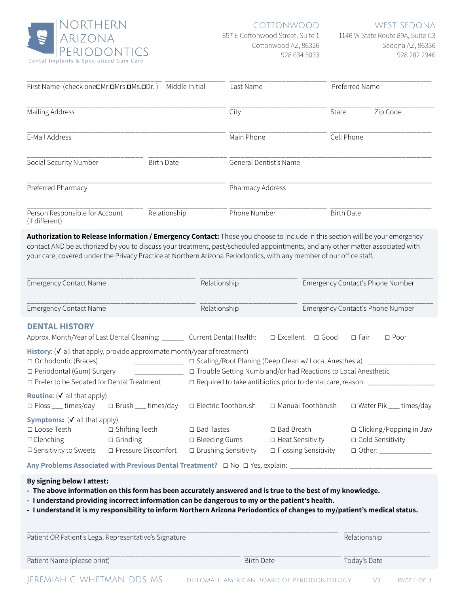

## COTTONWOOD

657 E Cottonwood Street, Suite 1 Cottonwood AZ, 86326 928 634 5033

WEST SEDONA

1146 W State Route 89A, Suite C3 Sedona AZ, 86336 928 282 2946

| Middle Initial<br>First Name (check one <sup>IMr.IMrs.IMs.IDr.)</sup> |              | Last Name              | Preferred Name    |          |
|-----------------------------------------------------------------------|--------------|------------------------|-------------------|----------|
| Mailing Address                                                       |              | City                   | State             | Zip Code |
| E-Mail Address                                                        |              | Main Phone             | Cell Phone        |          |
| Social Security Number<br><b>Birth Date</b>                           |              | General Dentist's Name |                   |          |
| Preferred Pharmacy                                                    |              | Pharmacy Address       |                   |          |
| Person Responsible for Account<br>(if different)                      | Relationship | Phone Number           | <b>Birth Date</b> |          |

**Authorization to Release Information / Emergency Contact:** Those you choose to include in this section will be your emergency contact AND be authorized by you to discuss your treatment, past/scheduled appointments, and any other matter associated with your care, covered under the Privacy Practice at Northern Arizona Periodontics, with any member of our office staff.

| <b>Emergency Contact Name</b>                                                                                                                              |                                                              | Relationship                                                                                                                                              |                                                                             | Emergency Contact's Phone Number |                         |                                                            |
|------------------------------------------------------------------------------------------------------------------------------------------------------------|--------------------------------------------------------------|-----------------------------------------------------------------------------------------------------------------------------------------------------------|-----------------------------------------------------------------------------|----------------------------------|-------------------------|------------------------------------------------------------|
| <b>Emergency Contact Name</b>                                                                                                                              |                                                              | Relationship                                                                                                                                              |                                                                             | Emergency Contact's Phone Number |                         |                                                            |
| <b>DENTAL HISTORY</b><br>Approx. Month/Year of Last Dental Cleaning: _______ Current Dental Health:                                                        |                                                              |                                                                                                                                                           | $\Box$ Excellent                                                            | $\Box$ Good                      | □ Fair                  | $\Box$ Poor                                                |
| History: $(V$ all that apply, provide approximate month/year of treatment)<br>□ Orthodontic (Braces)<br>□ Periodontal (Gum) Surgery                        |                                                              | $\Box$ Scaling/Root Planing (Deep Clean w/ Local Anesthesia) _____<br>□ Trouble Getting Numb and/or had Reactions to Local Anesthetic                     |                                                                             |                                  |                         |                                                            |
| $\Box$ Prefer to be Sedated for Dental Treatment<br><b>Routine</b> ( $\checkmark$ all that apply)<br>$\Box$ Floss ___ times/day $\Box$ Brush ___ times/day |                                                              | $\Box$ Required to take antibiotics prior to dental care, reason: _____<br>□ Electric Toothbrush<br>□ Manual Toothbrush<br>$\Box$ Water Pik ___ times/day |                                                                             |                                  |                         |                                                            |
| <b>Symptoms:</b> $(\checkmark)$ all that apply)<br>$\Box$ Loose Teeth<br>$\Box$ Clenching<br>$\square$ Sensitivity to Sweets                               | □ Shifting Teeth<br>$\Box$ Grinding<br>□ Pressure Discomfort | $\Box$ Bad Tastes<br>$\Box$ Bleeding Gums<br>$\Box$ Brushing Sensitivity                                                                                  | $\Box$ Bad Breath<br>$\Box$ Heat Sensitivity<br>$\Box$ Flossing Sensitivity |                                  | $\Box$ Cold Sensitivity | $\Box$ Clicking/Popping in Jaw<br>□ Other: _______________ |

**Any Problems Associated with Previous Dental Treatment?** □ No □ Yes, explain: \_

### **By signing below I attest:**

- **- The above information on this form has been accurately answered and is true to the best of my knowledge.**
- **- I understand providing incorrect information can be dangerous to my or the patient's health.**
- **- I understand it is my responsibility to inform Northern Arizona Periodontics of changes to my/patient's medical status.**

| Patient OR Patient's Legal Representative's Signature | Relationship |
|-------------------------------------------------------|--------------|
| Patient Name (please print)                           |              |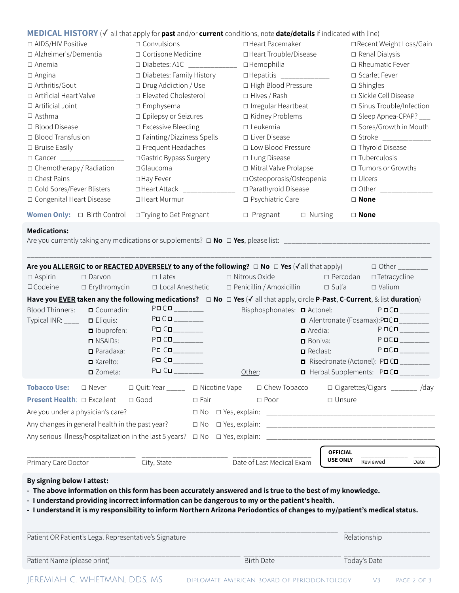# **MEDICAL HISTORY** (✓ all that apply for **past** and/or **current** conditions, note **date/details** if indicated with line)

| □ AIDS/HIV Positive                     | $\Box$ Convulsions                  | □ Heart Pacemaker                 | □ Recent Weight Loss/Gain   |  |
|-----------------------------------------|-------------------------------------|-----------------------------------|-----------------------------|--|
| □ Alzheimer's/Dementia                  | $\Box$ Cortisone Medicine           | □ Heart Trouble/Disease           | $\Box$ Renal Dialysis       |  |
| $\Box$ Anemia                           | □ Diabetes: A1C __________          | $\square$ Hemophilia              | $\Box$ Rheumatic Fever      |  |
| $\Box$ Angina                           | □ Diabetes: Family History          | □Hepatitis ____________           | □ Scarlet Fever             |  |
| □ Arthritis/Gout                        | $\square$ Drug Addiction / Use      | □ High Blood Pressure             | $\Box$ Shingles             |  |
| □ Artificial Heart Valve                | $\Box$ Elevated Cholesterol         | $\Box$ Hives / Rash               | □ Sickle Cell Disease       |  |
| $\Box$ Artificial Joint                 | $\square$ Emphysema                 | $\Box$ Irregular Heartbeat        | □ Sinus Trouble/Infection   |  |
| $\Box$ Asthma                           | $\square$ Epilepsy or Seizures      | □ Kidney Problems                 | □ Sleep Apnea-CPAP? ___     |  |
| $\Box$ Blood Disease                    | $\square$ Excessive Bleeding        | $\square$ Leukemia                | □ Sores/Growth in Mouth     |  |
| $\Box$ Blood Transfusion                | $\square$ Fainting/Dizziness Spells | $\Box$ Liver Disease              | □ Stroke <u>___________</u> |  |
| $\Box$ Bruise Easily                    | $\square$ Frequent Headaches        | □ Low Blood Pressure              | □ Thyroid Disease           |  |
| $\Box$ Cancer                           | □ Gastric Bypass Surgery            | $\square$ Lung Disease            | $\square$ Tuberculosis      |  |
| $\Box$ Chemotherapy / Radiation         | $\square$ Glaucoma                  | □ Mitral Valve Prolapse           | □ Tumors or Growths         |  |
| $\Box$ Chest Pains                      | □ Hay Fever                         | □ Osteoporosis/Osteopenia         | $\Box$ Ulcers               |  |
| □ Cold Sores/Fever Blisters             | □ Heart Attack _________            | □ Parathyroid Disease             | □ Other __________          |  |
| □ Congenital Heart Disease              | □ Heart Murmur                      | □ Psychiatric Care                | $\Box$ None                 |  |
| <b>Women Only:</b> $\Box$ Birth Control | □ Trying to Get Pregnant            | $\Box$ Nursing<br>$\Box$ Pregnant | $\Box$ None                 |  |

\_\_\_\_\_\_\_\_\_\_\_\_\_\_\_\_\_\_\_\_\_\_\_\_\_\_\_\_\_\_\_\_\_\_\_\_\_\_\_\_\_\_\_\_\_\_\_\_\_\_\_\_\_\_\_\_\_\_\_\_\_\_\_\_\_\_\_\_\_\_\_\_\_\_\_\_\_\_\_\_\_\_\_\_\_\_\_\_\_\_\_\_\_\_\_\_\_\_\_\_\_\_\_\_\_\_\_\_

### **Medications:**

Are you currently taking any medications or supplements? ☐ **No** ☐ **Yes**, please list: \_\_\_\_\_\_\_\_\_\_\_\_\_\_\_\_\_\_\_\_\_\_\_\_\_\_\_\_\_\_\_\_\_\_\_\_\_\_\_

|                                                                                                                                                                                                                                                                                                                                                                         |                         | Are you <u>ALLERGIC</u> to or <b>REACTED ADVERSELY</b> to any of the following? $\Box$ No $\Box$ Yes ( $\checkmark$ all that apply)               |                |                            |                               |                         |                                    | $\Box$ Other ________                  |      |
|-------------------------------------------------------------------------------------------------------------------------------------------------------------------------------------------------------------------------------------------------------------------------------------------------------------------------------------------------------------------------|-------------------------|---------------------------------------------------------------------------------------------------------------------------------------------------|----------------|----------------------------|-------------------------------|-------------------------|------------------------------------|----------------------------------------|------|
| $\Box$ Aspirin                                                                                                                                                                                                                                                                                                                                                          | $\Box$ Darvon           | $\Box$ Latex                                                                                                                                      |                | $\Box$ Nitrous Oxide       |                               |                         | $\Box$ Percodan                    | $\Box$ Tetracycline                    |      |
| $\Box$ Codeine                                                                                                                                                                                                                                                                                                                                                          | $\square$ Erythromycin  | □ Local Anesthetic                                                                                                                                |                | □ Penicillin / Amoxicillin |                               |                         | $\Box$ Sulfa                       | $\Box$ Valium                          |      |
|                                                                                                                                                                                                                                                                                                                                                                         |                         | Have you EVER taken any the following medications? $\Box$ No $\Box$ Yes ( $\checkmark$ all that apply, circle P-Past, C-Current, & list duration) |                |                            |                               |                         |                                    |                                        |      |
| <b>Blood Thinners:</b>                                                                                                                                                                                                                                                                                                                                                  | Coumadin:               | $P\square$                                                                                                                                        |                |                            | Bisphosphonates: □ Actonel:   |                         |                                    | $P$ o $C$ o $\overline{\phantom{a}$    |      |
| Typical INR: ____                                                                                                                                                                                                                                                                                                                                                       | $\Box$ Eliquis:         |                                                                                                                                                   |                |                            |                               |                         |                                    | Alentronate (Fosamax):POCO_______      |      |
|                                                                                                                                                                                                                                                                                                                                                                         | <b>D</b> Ibuprofen:     | PDCD                                                                                                                                              |                |                            |                               | $\blacksquare$ Aredia:  |                                    | $P$ oco                                |      |
|                                                                                                                                                                                                                                                                                                                                                                         | <b>D</b> NSAIDs:        |                                                                                                                                                   |                |                            |                               | $\blacksquare$ Boniva:  |                                    | $P$ oco                                |      |
|                                                                                                                                                                                                                                                                                                                                                                         | $\Box$ Paradaxa:        | $P\square$ $C\square$                                                                                                                             |                |                            |                               | $\blacksquare$ Reclast: |                                    | $P$ OCO                                |      |
|                                                                                                                                                                                                                                                                                                                                                                         | $\blacksquare$ Xarelto: | PDCD                                                                                                                                              |                |                            |                               |                         |                                    | □ Risedronate (Actonel): P□ C□ _______ |      |
|                                                                                                                                                                                                                                                                                                                                                                         | $\square$ Zometa:       | PDCD                                                                                                                                              |                | Other:                     |                               |                         |                                    | □ Herbal Supplements: P□C□             |      |
| <b>Tobacco Use:</b><br><b>Present Health: <math>\Box</math> Excellent</b>                                                                                                                                                                                                                                                                                               | $\square$ Never         | □ Quit: Year ______ □ Nicotine Vape<br>$\Box$ Good                                                                                                | $\square$ Fair |                            | □ Chew Tobacco<br>$\Box$ Poor |                         | $\Box$ Unsure                      | □ Cigarettes/Cigars _______ /day       |      |
| Are you under a physician's care?                                                                                                                                                                                                                                                                                                                                       |                         |                                                                                                                                                   |                |                            |                               |                         |                                    |                                        |      |
|                                                                                                                                                                                                                                                                                                                                                                         |                         |                                                                                                                                                   |                |                            |                               |                         |                                    |                                        |      |
|                                                                                                                                                                                                                                                                                                                                                                         |                         | Any changes in general health in the past year?                                                                                                   |                |                            |                               |                         |                                    |                                        |      |
|                                                                                                                                                                                                                                                                                                                                                                         |                         |                                                                                                                                                   |                |                            |                               |                         |                                    |                                        |      |
| Primary Care Doctor                                                                                                                                                                                                                                                                                                                                                     |                         | City, State                                                                                                                                       |                |                            | Date of Last Medical Exam     |                         | <b>OFFICIAL</b><br><b>USE ONLY</b> | Reviewed                               | Date |
| By signing below I attest:<br>- The above information on this form has been accurately answered and is true to the best of my knowledge.<br>- I understand providing incorrect information can be dangerous to my or the patient's health.<br>- I understand it is my responsibility to inform Northern Arizona Periodontics of changes to my/patient's medical status. |                         |                                                                                                                                                   |                |                            |                               |                         |                                    |                                        |      |

| Patient OR Patient's Legal Representative's Signature | Relationship |
|-------------------------------------------------------|--------------|
|                                                       |              |
|                                                       |              |

Patient Name (please print) and the Today's Date Today's Date

JEREMIAH C. WHETMAN, DDS, MS DIPLOMATE, AMERICAN BOARD OF PERIODONTOLOGY V3 PAGE 2 OF 3